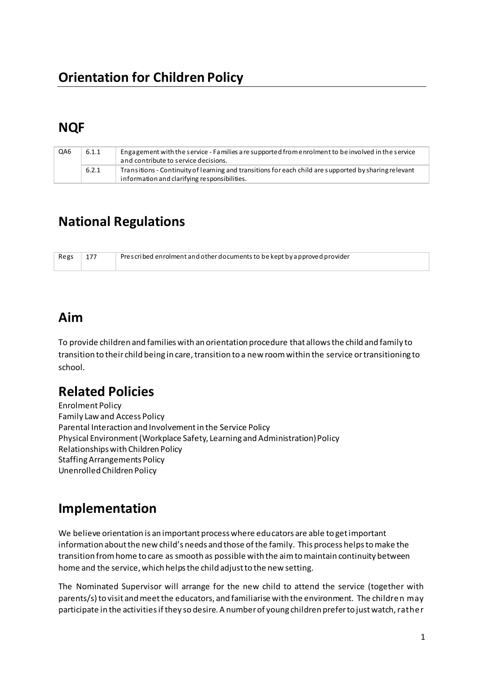### **NQF**

| QA6 | 6.1.1 | Engagement with the service - Families are supported from enrolment to be involved in the service<br>and contribute to service decisions.             |
|-----|-------|-------------------------------------------------------------------------------------------------------------------------------------------------------|
|     | 6.2.1 | Transitions - Continuity of learning and transitions for each child are supported by sharing relevant<br>information and clarifying responsibilities. |

## **National Regulations**

| Regs | 177 | Prescribed enrolment and other documents to be kept by approved provider |
|------|-----|--------------------------------------------------------------------------|
|      |     |                                                                          |

## **Aim**

To provide children and families with an orientation procedure that allows the child and family to transition to their child being in care, transition to a new room within the service or transitioning to school.

# **Related Policies**

Enrolment Policy Family Law and Access Policy Parental Interaction and Involvement in the Service Policy Physical Environment (Workplace Safety, Learning and Administration) Policy Relationships with Children Policy Staffing Arrangements Policy Unenrolled Children Policy

### **Implementation**

We believe orientation is an important process where educators are able to get important information about the new child's needs and those of the family. This process helps to make the transition from home to care as smooth as possible with the aim to maintain continuity between home and the service, which helps the child adjust to the new setting.

The Nominated Supervisor will arrange for the new child to attend the service (together with parents/s) to visit and meet the educators, and familiarise with the environment. The children may participate in the activities if they so desire. A number of young children prefer to just watch, rather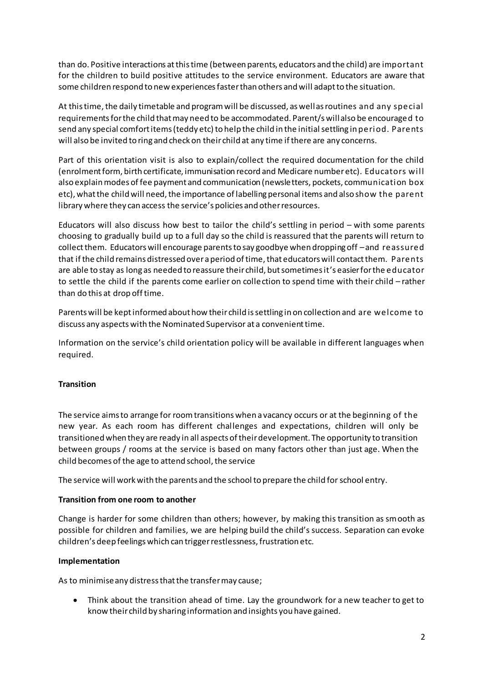than do. Positive interactions at this time (between parents, educators and the child) are important for the children to build positive attitudes to the service environment. Educators are aware that some children respond to new experiences faster than others and will adapt to the situation.

At this time, the daily timetable and program will be discussed, as well as routines and any special requirements for the child that may need to be accommodated. Parent/s will also be encouraged to send any special comfort items (teddy etc) to help the child in the initial settling in period. Parents will also be invited to ring and check on their child at any time if there are any concerns.

Part of this orientation visit is also to explain/collect the required documentation for the child (enrolment form, birth certificate, immunisation record and Medicare number etc). Educators will also explain modes of fee payment and communication (newsletters, pockets, communication box etc), what the child will need, the importance of labelling personal items and also show the parent library where they can access the service's policies and other resources.

Educators will also discuss how best to tailor the child's settling in period – with some parents choosing to gradually build up to a full day so the child is reassured that the parents will return to collect them. Educators will encourage parents to say goodbye when dropping off – and reassured that if the child remains distressed over a period of time, that educators will contact them. Parents are able to stay as long as needed to reassure their child, but sometimes it's easier for the educator to settle the child if the parents come earlier on collection to spend time with their child – rather than do this at drop off time.

Parents will be kept informed about how their child is settling in on collection and are welcome to discuss any aspects with the Nominated Supervisor at a convenient time.

Information on the service's child orientation policy will be available in different languages when required.

#### **Transition**

The service aims to arrange for room transitions when a vacancy occurs or at the beginning of the new year. As each room has different challenges and expectations, children will only be transitioned when they are ready in all aspects of their development. The opportunity to transition between groups / rooms at the service is based on many factors other than just age. When the child becomes of the age to attend school, the service

The service will work with the parents and the school to prepare the child for school entry.

#### **Transition from one room to another**

Change is harder for some children than others; however, by making this transition as smooth as possible for children and families, we are helping build the child's success. Separation can evoke children's deep feelings which can trigger restlessness, frustration etc.

#### **Implementation**

As to minimise any distress that the transfer may cause;

• Think about the transition ahead of time. Lay the groundwork for a new teacher to get to know their child by sharing information and insights you have gained.